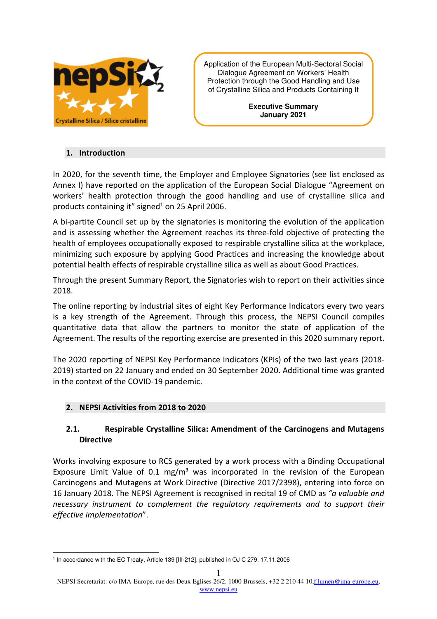

Application of the European Multi-Sectoral Social Dialogue Agreement on Workers' Health Protection through the Good Handling and Use of Crystalline Silica and Products Containing It

> **Executive Summary January 2021**

### **1. Introduction**

In 2020, for the seventh time, the Employer and Employee Signatories (see list enclosed as Annex I) have reported on the application of the European Social Dialogue "Agreement on workers' health protection through the good handling and use of crystalline silica and products containing it" signed $<sup>1</sup>$  on 25 April 2006.</sup>

A bi-partite Council set up by the signatories is monitoring the evolution of the application and is assessing whether the Agreement reaches its three-fold objective of protecting the health of employees occupationally exposed to respirable crystalline silica at the workplace, minimizing such exposure by applying Good Practices and increasing the knowledge about potential health effects of respirable crystalline silica as well as about Good Practices.

Through the present Summary Report, the Signatories wish to report on their activities since 2018.

The online reporting by industrial sites of eight Key Performance Indicators every two years is a key strength of the Agreement. Through this process, the NEPSI Council compiles quantitative data that allow the partners to monitor the state of application of the Agreement. The results of the reporting exercise are presented in this 2020 summary report.

The 2020 reporting of NEPSI Key Performance Indicators (KPIs) of the two last years (2018- 2019) started on 22 January and ended on 30 September 2020. Additional time was granted in the context of the COVID-19 pandemic.

## **2. NEPSI Activities from 2018 to 2020**

## **2.1. Respirable Crystalline Silica: Amendment of the Carcinogens and Mutagens Directive**

Works involving exposure to RCS generated by a work process with a Binding Occupational Exposure Limit Value of 0.1 mg/m<sup>3</sup> was incorporated in the revision of the European Carcinogens and Mutagens at Work Directive (Directive 2017/2398), entering into force on 16 January 2018. The NEPSI Agreement is recognised in recital 19 of CMD as *"a valuable and necessary instrument to complement the regulatory requirements and to support their effective implementation*".

<sup>&</sup>lt;sup>1</sup> In accordance with the EC Treaty, Article 139 [III-212], published in OJ C 279, 17.11.2006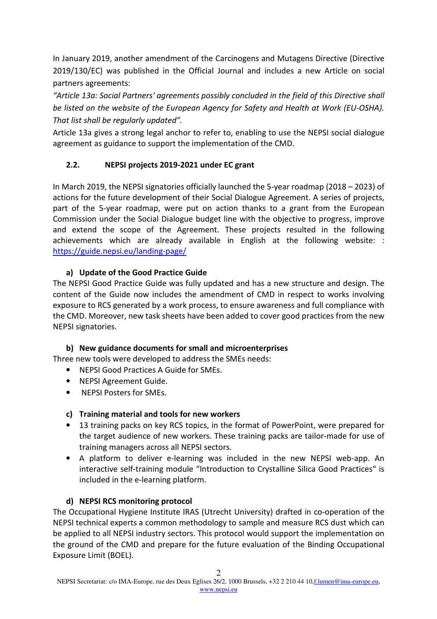In January 2019, another amendment of the Carcinogens and Mutagens Directive (Directive 2019/130/EC) was published in the Official Journal and includes a new Article on social partners agreements:

*"Article 13a: Social Partners' agreements possibly concluded in the field of this Directive shall be listed on the website of the European Agency for Safety and Health at Work (EU-OSHA). That list shall be regularly updated".* 

Article 13a gives a strong legal anchor to refer to, enabling to use the NEPSI social dialogue agreement as guidance to support the implementation of the CMD.

# **2.2. NEPSI projects 2019-2021 under EC grant**

In March 2019, the NEPSI signatories officially launched the 5-year roadmap (2018 – 2023) of actions for the future development of their Social Dialogue Agreement. A series of projects, part of the 5-year roadmap, were put on action thanks to a grant from the European Commission under the Social Dialogue budget line with the objective to progress, improve and extend the scope of the Agreement. These projects resulted in the following achievements which are already available in English at the following website: : https://guide.nepsi.eu/landing-page/

# **a) Update of the Good Practice Guide**

The NEPSI Good Practice Guide was fully updated and has a new structure and design. The content of the Guide now includes the amendment of CMD in respect to works involving exposure to RCS generated by a work process, to ensure awareness and full compliance with the CMD. Moreover, new task sheets have been added to cover good practices from the new NEPSI signatories.

# **b) New guidance documents for small and microenterprises**

Three new tools were developed to address the SMEs needs:

- NEPSI Good Practices A Guide for SMEs.
- NEPSI Agreement Guide.
- NEPSI Posters for SMEs.

# **c) Training material and tools for new workers**

- 13 training packs on key RCS topics, in the format of PowerPoint, were prepared for the target audience of new workers. These training packs are tailor-made for use of training managers across all NEPSI sectors.
- A platform to deliver e-learning was included in the new NEPSI web-app. An interactive self-training module "Introduction to Crystalline Silica Good Practices" is included in the e-learning platform.

# **d) NEPSI RCS monitoring protocol**

The Occupational Hygiene Institute IRAS (Utrecht University) drafted in co-operation of the NEPSI technical experts a common methodology to sample and measure RCS dust which can be applied to all NEPSI industry sectors. This protocol would support the implementation on the ground of the CMD and prepare for the future evaluation of the Binding Occupational Exposure Limit (BOEL).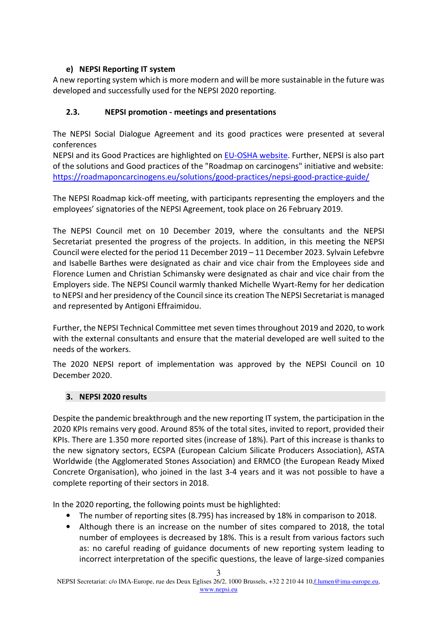# **e) NEPSI Reporting IT system**

A new reporting system which is more modern and will be more sustainable in the future was developed and successfully used for the NEPSI 2020 reporting.

## **2.3. NEPSI promotion - meetings and presentations**

The NEPSI Social Dialogue Agreement and its good practices were presented at several conferences

NEPSI and its Good Practices are highlighted on **EU-OSHA website**. Further, NEPSI is also part of the solutions and Good practices of the "Roadmap on carcinogens" initiative and website: https://roadmaponcarcinogens.eu/solutions/good-practices/nepsi-good-practice-guide/

The NEPSI Roadmap kick-off meeting, with participants representing the employers and the employees' signatories of the NEPSI Agreement, took place on 26 February 2019.

The NEPSI Council met on 10 December 2019, where the consultants and the NEPSI Secretariat presented the progress of the projects. In addition, in this meeting the NEPSI Council were elected for the period 11 December 2019 – 11 December 2023. Sylvain Lefebvre and Isabelle Barthes were designated as chair and vice chair from the Employees side and Florence Lumen and Christian Schimansky were designated as chair and vice chair from the Employers side. The NEPSI Council warmly thanked Michelle Wyart-Remy for her dedication to NEPSI and her presidency of the Council since its creation The NEPSI Secretariat is managed and represented by Antigoni Effraimidou.

Further, the NEPSI Technical Committee met seven times throughout 2019 and 2020, to work with the external consultants and ensure that the material developed are well suited to the needs of the workers.

The 2020 NEPSI report of implementation was approved by the NEPSI Council on 10 December 2020.

## **3. NEPSI 2020 results**

Despite the pandemic breakthrough and the new reporting IT system, the participation in the 2020 KPIs remains very good. Around 85% of the total sites, invited to report, provided their KPIs. There are 1.350 more reported sites (increase of 18%). Part of this increase is thanks to the new signatory sectors, ECSPA (European Calcium Silicate Producers Association), ASTA Worldwide (the Agglomerated Stones Association) and ERMCO (the European Ready Mixed Concrete Organisation), who joined in the last 3-4 years and it was not possible to have a complete reporting of their sectors in 2018.

In the 2020 reporting, the following points must be highlighted:

- The number of reporting sites (8.795) has increased by 18% in comparison to 2018.
- Although there is an increase on the number of sites compared to 2018, the total number of employees is decreased by 18%. This is a result from various factors such as: no careful reading of guidance documents of new reporting system leading to incorrect interpretation of the specific questions, the leave of large-sized companies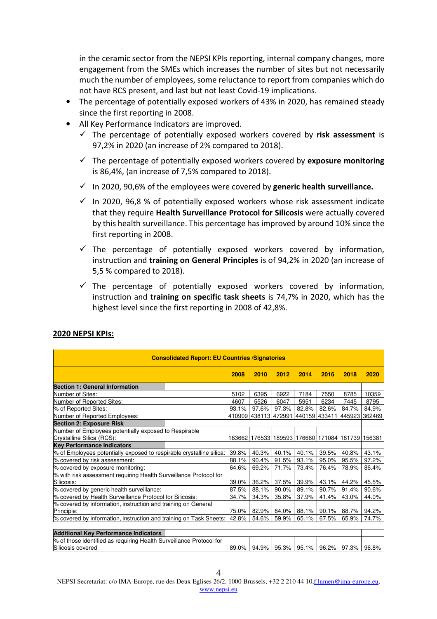in the ceramic sector from the NEPSI KPIs reporting, internal company changes, more engagement from the SMEs which increases the number of sites but not necessarily much the number of employees, some reluctance to report from companies which do not have RCS present, and last but not least Covid-19 implications.

- The percentage of potentially exposed workers of 43% in 2020, has remained steady since the first reporting in 2008.
- All Key Performance Indicators are improved.
	- The percentage of potentially exposed workers covered by **risk assessment** is 97,2% in 2020 (an increase of 2% compared to 2018).
	- The percentage of potentially exposed workers covered by **exposure monitoring** is 86,4%, (an increase of 7,5% compared to 2018).
	- In 2020, 90,6% of the employees were covered by **generic health surveillance.**
	- $\checkmark$  In 2020, 96,8 % of potentially exposed workers whose risk assessment indicate that they require **Health Surveillance Protocol for Silicosis** were actually covered by this health surveillance. This percentage has improved by around 10% since the first reporting in 2008.
	- $\checkmark$  The percentage of potentially exposed workers covered by information, instruction and **training on General Principles** is of 94,2% in 2020 (an increase of 5,5 % compared to 2018).
	- $\checkmark$  The percentage of potentially exposed workers covered by information, instruction and **training on specific task sheets** is 74,7% in 2020, which has the highest level since the first reporting in 2008 of 42,8%.

| <b>Consolidated Report: EU Countries /Signatories</b>                                    |       |                                                  |       |               |       |               |       |
|------------------------------------------------------------------------------------------|-------|--------------------------------------------------|-------|---------------|-------|---------------|-------|
|                                                                                          | 2008  | 2010                                             | 2012  | 2014          | 2016  | 2018          | 2020  |
| <b>Section 1: General Information</b>                                                    |       |                                                  |       |               |       |               |       |
| Number of Sites:                                                                         | 5102  | 6395                                             | 6922  | 7184          | 7550  | 8785          | 10359 |
| Number of Reported Sites:                                                                | 4607  | 5526                                             | 6047  | 5951          | 6234  | 7445          | 8795  |
| % of Reported Sites:                                                                     | 93.1% | 97.6%                                            | 97.3% | 82.8%         | 82.6% | 84.7%         | 84.9% |
| Number of Reported Employees:                                                            |       | 410909 438113 472991                             |       | 440159 433411 |       | 445923 362469 |       |
| <b>Section 2: Exposure Risk</b>                                                          |       |                                                  |       |               |       |               |       |
| Number of Employees potentially exposed to Respirable                                    |       |                                                  |       |               |       |               |       |
| Crystalline Silica (RCS):                                                                |       | 163662 176533 189593 176660 171084 181739 156381 |       |               |       |               |       |
| <b>Key Performance Indicators</b>                                                        |       |                                                  |       |               |       |               |       |
| % of Employees potentially exposed to respirable crystalline silica:                     | 39.8% | 40.3%                                            | 40.1% | 40.1%         | 39.5% | 40.8%         | 43.1% |
| % covered by risk assessment:                                                            | 88.1% | 90.4%                                            | 91.5% | 93.1%         | 95.0% | 95.5%         | 97.2% |
| % covered by exposure monitoring:                                                        | 64.6% | 69.2%                                            | 71.7% | 73.4%         | 76.4% | 78.9%         | 86.4% |
| % with risk assessment requiring Health Surveillance Protocol for                        |       |                                                  |       |               |       |               |       |
| Silicosis:                                                                               | 39.0% | 36.2%                                            | 37.5% | 39.9%         | 43.1% | 44.2%         | 45.5% |
| % covered by generic health surveillance:                                                | 87.5% | 88.1%                                            | 90.0% | 89.1%         | 90.7% | 91.4%         | 90.6% |
| % covered by Health Surveillance Protocol for Silicosis:                                 | 34.7% | 34.3%                                            | 35.8% | 37.9%         | 41.4% | 43.0%         | 44.0% |
| % covered by information, instruction and training on General                            |       |                                                  |       |               |       |               |       |
| Principle:                                                                               | 75.0% | 82.9%                                            | 84.0% | 88.1%         | 90.1% | 88.7%         | 94.2% |
| % covered by information, instruction and training on Task Sheets:                       | 42.8% | 54.6%                                            | 59.9% | 65.1%         | 67.5% | 65.9%         | 74.7% |
| <b>Additional Key Performance Indicators</b>                                             |       |                                                  |       |               |       |               |       |
| % of those identified as requiring Health Surveillance Protocol for<br>Silicosis covered | 89.0% | 94.9%                                            | 95.3% | 95.1%         | 96.2% | 97.3%         | 96.8% |

## **2020 NEPSI KPIs:**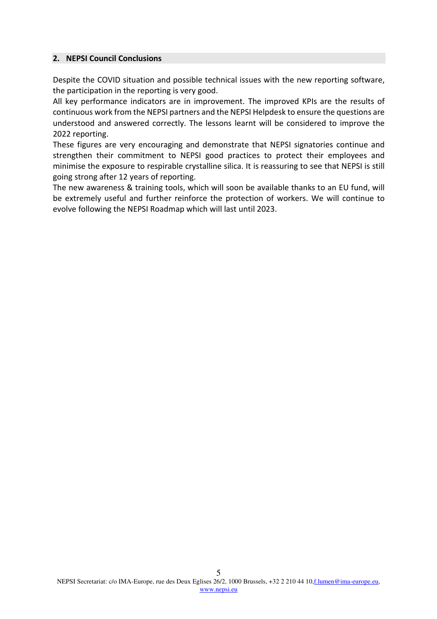### **2. NEPSI Council Conclusions**

Despite the COVID situation and possible technical issues with the new reporting software, the participation in the reporting is very good.

All key performance indicators are in improvement. The improved KPIs are the results of continuous work from the NEPSI partners and the NEPSI Helpdesk to ensure the questions are understood and answered correctly. The lessons learnt will be considered to improve the 2022 reporting.

These figures are very encouraging and demonstrate that NEPSI signatories continue and strengthen their commitment to NEPSI good practices to protect their employees and minimise the exposure to respirable crystalline silica. It is reassuring to see that NEPSI is still going strong after 12 years of reporting.

The new awareness & training tools, which will soon be available thanks to an EU fund, will be extremely useful and further reinforce the protection of workers. We will continue to evolve following the NEPSI Roadmap which will last until 2023.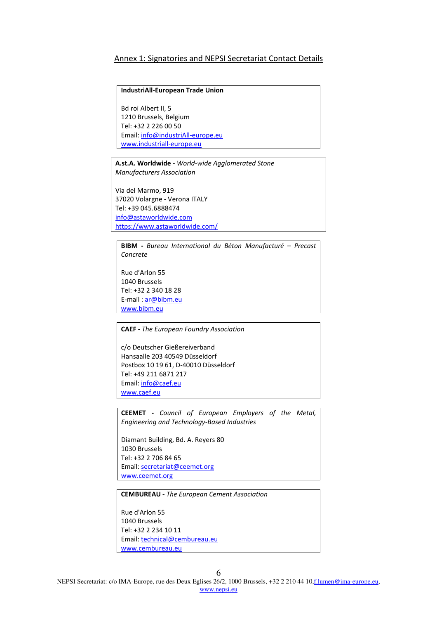#### Annex 1: Signatories and NEPSI Secretariat Contact Details

#### **IndustriAll-European Trade Union**

Bd roi Albert II, 5 1210 Brussels, Belgium Tel: +32 2 226 00 50 Email: info@industriAll-europe.eu www.industriall-europe.eu

**A.st.A. Worldwide -** *World-wide Agglomerated Stone Manufacturers Association*

Via del Marmo, 919 37020 Volargne - Verona ITALY Tel: +39 045.6888474 info@astaworldwide.com https://www.astaworldwide.com/

**BIBM -** *Bureau International du Béton Manufacturé – Precast Concrete* 

Rue d'Arlon 55 1040 Brussels Tel: +32 2 340 18 28 E-mail : ar@bibm.eu www.bibm.eu

**CAEF -** *The European Foundry Association*

c/o Deutscher Gießereiverband Hansaalle 203 40549 Düsseldorf Postbox 10 19 61, D-40010 Düsseldorf Tel: +49 211 6871 217 Email: info@caef.eu www.caef.eu

**CEEMET -** *Council of European Employers of the Metal, Engineering and Technology-Based Industries* 

Diamant Building, Bd. A. Reyers 80 1030 Brussels Tel: +32 2 706 84 65 Email: secretariat@ceemet.org www.ceemet.org

**CEMBUREAU -** *The European Cement Association* 

Rue d'Arlon 55 1040 Brussels Tel: +32 2 234 10 11 Email: technical@cembureau.eu www.cembureau.eu

6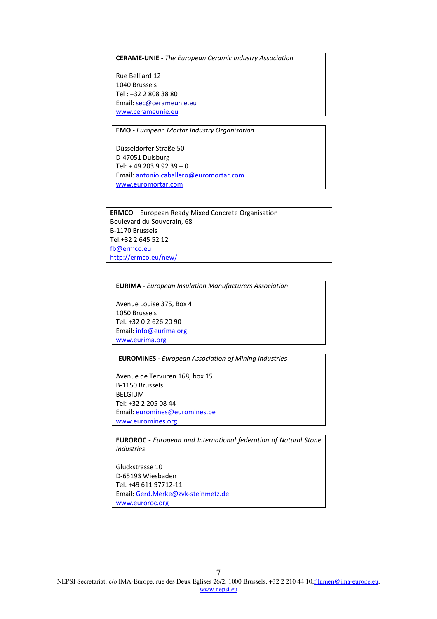**CERAME-UNIE -** *The European Ceramic Industry Association*

Rue Belliard 12 1040 Brussels Tel : +32 2 808 38 80 Email: sec@cerameunie.eu www.cerameunie.eu

**EMO -** *European Mortar Industry Organisation*  Düsseldorfer Straße 50 D-47051 Duisburg Tel: + 49 203 9 92 39 – 0 Email: antonio.caballero@euromortar.com www.euromortar.com

**ERMCO** – European Ready Mixed Concrete Organisation Boulevard du Souverain, 68 B-1170 Brussels Tel.+32 2 645 52 12 fb@ermco.eu http://ermco.eu/new/

**EURIMA -** *European Insulation Manufacturers Association* 

Avenue Louise 375, Box 4 1050 Brussels Tel: +32 0 2 626 20 90 Email: info@eurima.org www.eurima.org

**EUROMINES -** *European Association of Mining Industries* 

Avenue de Tervuren 168, box 15 B-1150 Brussels BELGIUM Tel: +32 2 205 08 44 Email: euromines@euromines.be www.euromines.org

**EUROROC -** *European and International federation of Natural Stone Industries* 

Gluckstrasse 10 D-65193 Wiesbaden Tel: +49 611 97712-11 Email: Gerd.Merke@zvk-steinmetz.de www.euroroc.org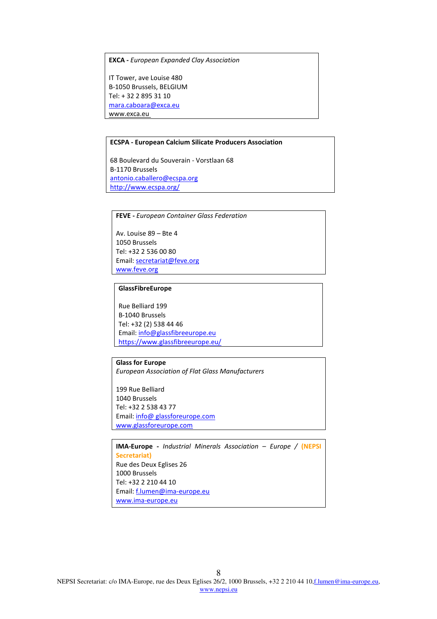**EXCA -** *European Expanded Clay Association*

IT Tower, ave Louise 480 B-1050 Brussels, BELGIUM Tel: + 32 2 895 31 10 mara.caboara@exca.eu www.exca.eu

#### **ECSPA - European Calcium Silicate Producers Association**

68 Boulevard du Souverain - Vorstlaan 68 B-1170 Brussels antonio.caballero@ecspa.org http://www.ecspa.org/

**FEVE -** *European Container Glass Federation* 

Av. Louise 89 – Bte 4 1050 Brussels Tel: +32 2 536 00 80 Email: secretariat@feve.org www.feve.org

#### **GlassFibreEurope**

Rue Belliard 199 B-1040 Brussels Tel: +32 (2) 538 44 46 Email: info@glassfibreeurope.eu https://www.glassfibreeurope.eu/

#### **Glass for Europe**

*European Association of Flat Glass Manufacturers* 

199 Rue Belliard 1040 Brussels Tel: +32 2 538 43 77 Email: info@ glassforeurope.com www.glassforeurope.com

**IMA-Europe -** *Industrial Minerals Association – Europe /* **(NEPSI Secretariat)** Rue des Deux Eglises 26 1000 Brussels Tel: +32 2 210 44 10 Email: f.lumen@ima-europe.eu www.ima-europe.eu